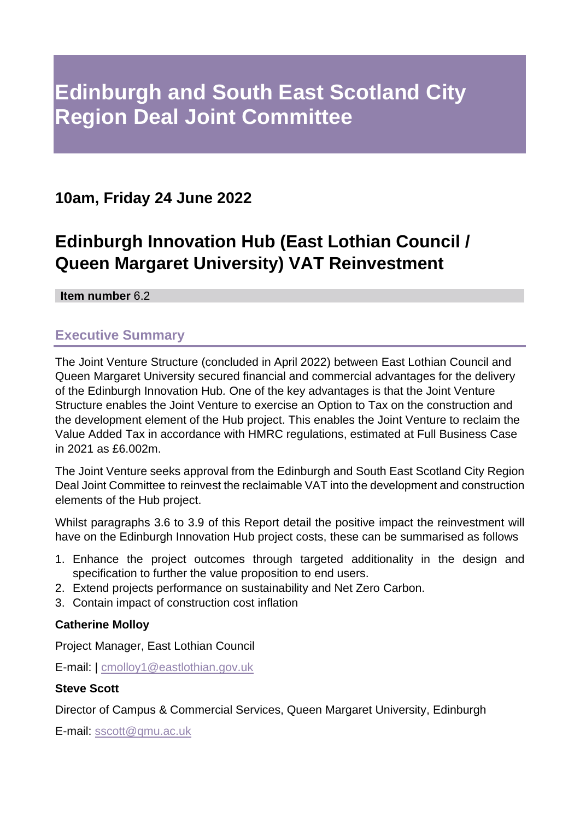# **10am, Friday 24 June 2022**

# **Edinburgh Innovation Hub (East Lothian Council / Queen Margaret University) VAT Reinvestment**

**Item number** 6.2

# **Executive Summary**

The Joint Venture Structure (concluded in April 2022) between East Lothian Council and Queen Margaret University secured financial and commercial advantages for the delivery of the Edinburgh Innovation Hub*.* One of the key advantages is that the Joint Venture Structure enables the Joint Venture to exercise an Option to Tax on the construction and the development element of the Hub project. This enables the Joint Venture to reclaim the Value Added Tax in accordance with HMRC regulations, estimated at Full Business Case in 2021 as £6.002m.

The Joint Venture seeks approval from the Edinburgh and South East Scotland City Region Deal Joint Committee to reinvest the reclaimable VAT into the development and construction elements of the Hub project.

Whilst paragraphs 3.6 to 3.9 of this Report detail the positive impact the reinvestment will have on the Edinburgh Innovation Hub project costs, these can be summarised as follows

- 1. Enhance the project outcomes through targeted additionality in the design and specification to further the value proposition to end users.
- 2. Extend projects performance on sustainability and Net Zero Carbon.
- 3. Contain impact of construction cost inflation

#### **Catherine Molloy**

Project Manager, East Lothian Council

E-mail: | [cmolloy1@eastlothian.gov.uk](mailto:cmolloy1@eastlothian.gov.uk)

#### **Steve Scott**

Director of Campus & Commercial Services, Queen Margaret University, Edinburgh

E-mail: [sscott@qmu.ac.uk](mailto:sscott@qmu.ac.uk)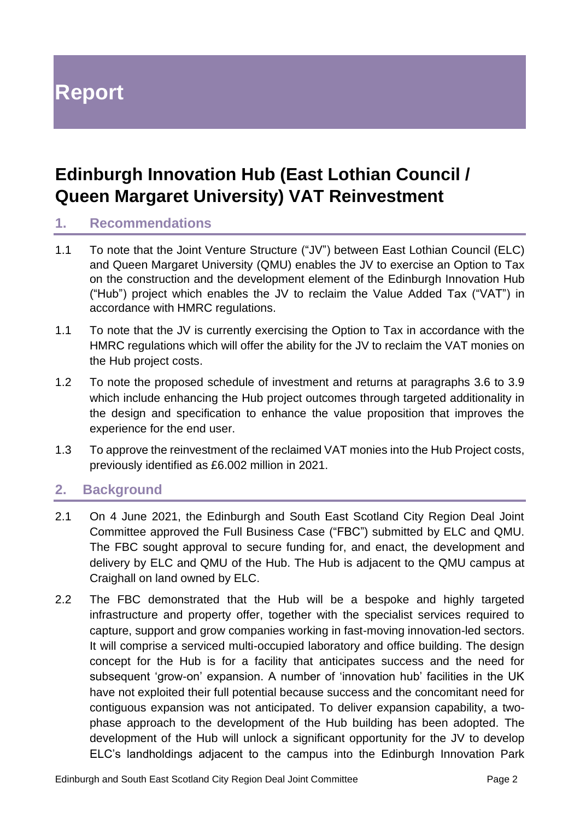# **Report**

# **Edinburgh Innovation Hub (East Lothian Council / Queen Margaret University) VAT Reinvestment**

#### **1. Recommendations**

- 1.1 To note that the Joint Venture Structure ("JV") between East Lothian Council (ELC) and Queen Margaret University (QMU) enables the JV to exercise an Option to Tax on the construction and the development element of the Edinburgh Innovation Hub ("Hub") project which enables the JV to reclaim the Value Added Tax ("VAT") in accordance with HMRC regulations.
- 1.1 To note that the JV is currently exercising the Option to Tax in accordance with the HMRC regulations which will offer the ability for the JV to reclaim the VAT monies on the Hub project costs.
- 1.2 To note the proposed schedule of investment and returns at paragraphs 3.6 to 3.9 which include enhancing the Hub project outcomes through targeted additionality in the design and specification to enhance the value proposition that improves the experience for the end user.
- 1.3 To approve the reinvestment of the reclaimed VAT monies into the Hub Project costs, previously identified as £6.002 million in 2021.

## **2. Background**

- 2.1 On 4 June 2021, the Edinburgh and South East Scotland City Region Deal Joint Committee approved the Full Business Case ("FBC") submitted by ELC and QMU. The FBC sought approval to secure funding for, and enact, the development and delivery by ELC and QMU of the Hub. The Hub is adjacent to the QMU campus at Craighall on land owned by ELC.
- 2.2 The FBC demonstrated that the Hub will be a bespoke and highly targeted infrastructure and property offer, together with the specialist services required to capture, support and grow companies working in fast-moving innovation-led sectors. It will comprise a serviced multi-occupied laboratory and office building. The design concept for the Hub is for a facility that anticipates success and the need for subsequent 'grow-on' expansion. A number of 'innovation hub' facilities in the UK have not exploited their full potential because success and the concomitant need for contiguous expansion was not anticipated. To deliver expansion capability, a twophase approach to the development of the Hub building has been adopted. The development of the Hub will unlock a significant opportunity for the JV to develop ELC's landholdings adjacent to the campus into the Edinburgh Innovation Park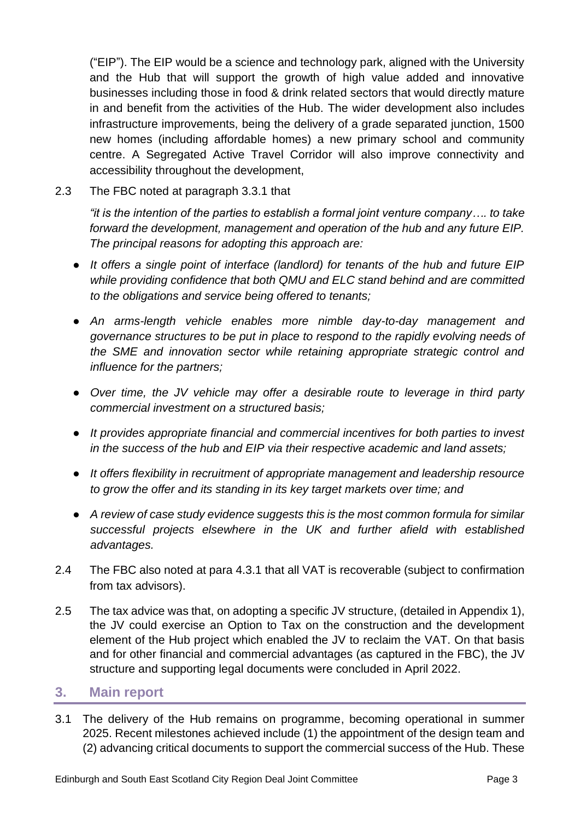("EIP"). The EIP would be a science and technology park, aligned with the University and the Hub that will support the growth of high value added and innovative businesses including those in food & drink related sectors that would directly mature in and benefit from the activities of the Hub. The wider development also includes infrastructure improvements, being the delivery of a grade separated junction, 1500 new homes (including affordable homes) a new primary school and community centre. A Segregated Active Travel Corridor will also improve connectivity and accessibility throughout the development,

2.3 The FBC noted at paragraph 3.3.1 that

*"it is the intention of the parties to establish a formal joint venture company…. to take forward the development, management and operation of the hub and any future EIP. The principal reasons for adopting this approach are:*

- *It offers a single point of interface (landlord) for tenants of the hub and future EIP while providing confidence that both QMU and ELC stand behind and are committed to the obligations and service being offered to tenants;*
- *An arms-length vehicle enables more nimble day-to-day management and governance structures to be put in place to respond to the rapidly evolving needs of the SME and innovation sector while retaining appropriate strategic control and influence for the partners;*
- *Over time, the JV vehicle may offer a desirable route to leverage in third party commercial investment on a structured basis;*
- *It provides appropriate financial and commercial incentives for both parties to invest in the success of the hub and EIP via their respective academic and land assets;*
- *It offers flexibility in recruitment of appropriate management and leadership resource to grow the offer and its standing in its key target markets over time; and*
- *A review of case study evidence suggests this is the most common formula for similar successful projects elsewhere in the UK and further afield with established advantages.*
- 2.4 The FBC also noted at para 4.3.1 that all VAT is recoverable (subject to confirmation from tax advisors).
- 2.5 The tax advice was that, on adopting a specific JV structure, (detailed in Appendix 1), the JV could exercise an Option to Tax on the construction and the development element of the Hub project which enabled the JV to reclaim the VAT. On that basis and for other financial and commercial advantages (as captured in the FBC), the JV structure and supporting legal documents were concluded in April 2022.

#### **3. Main report**

3.1 The delivery of the Hub remains on programme, becoming operational in summer 2025. Recent milestones achieved include (1) the appointment of the design team and (2) advancing critical documents to support the commercial success of the Hub. These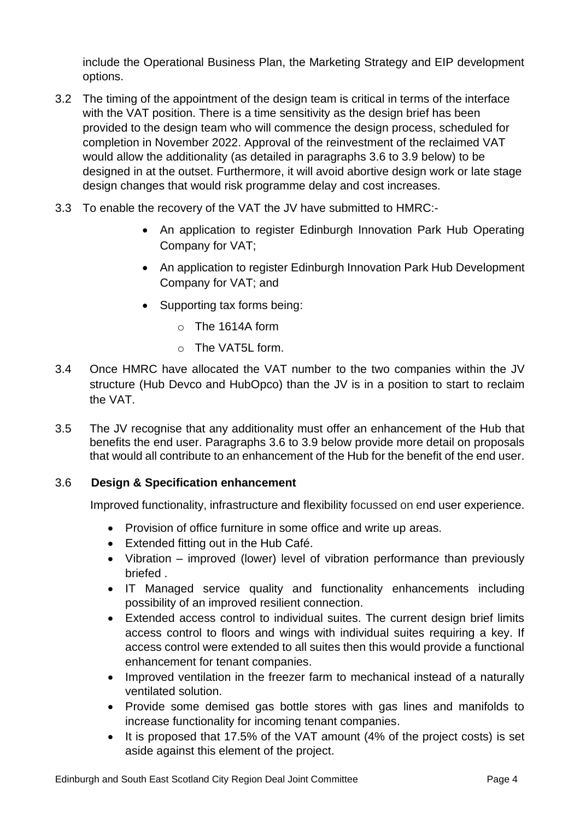include the Operational Business Plan, the Marketing Strategy and EIP development options.

- 3.2 The timing of the appointment of the design team is critical in terms of the interface with the VAT position. There is a time sensitivity as the design brief has been provided to the design team who will commence the design process, scheduled for completion in November 2022. Approval of the reinvestment of the reclaimed VAT would allow the additionality (as detailed in paragraphs 3.6 to 3.9 below) to be designed in at the outset. Furthermore, it will avoid abortive design work or late stage design changes that would risk programme delay and cost increases.
- 3.3 To enable the recovery of the VAT the JV have submitted to HMRC:-
	- An application to register Edinburgh Innovation Park Hub Operating Company for VAT;
	- An application to register Edinburgh Innovation Park Hub Development Company for VAT; and
	- Supporting tax forms being:
		- $\circ$  The 1614A form
		- $\circ$  The VAT5L form.
- 3.4 Once HMRC have allocated the VAT number to the two companies within the JV structure (Hub Devco and HubOpco) than the JV is in a position to start to reclaim the VAT.
- 3.5 The JV recognise that any additionality must offer an enhancement of the Hub that benefits the end user. Paragraphs 3.6 to 3.9 below provide more detail on proposals that would all contribute to an enhancement of the Hub for the benefit of the end user.

#### 3.6 **Design & Specification enhancement**

Improved functionality, infrastructure and flexibility focussed on end user experience.

- Provision of office furniture in some office and write up areas.
- Extended fitting out in the Hub Café.
- Vibration improved (lower) level of vibration performance than previously briefed .
- IT Managed service quality and functionality enhancements including possibility of an improved resilient connection.
- Extended access control to individual suites. The current design brief limits access control to floors and wings with individual suites requiring a key. If access control were extended to all suites then this would provide a functional enhancement for tenant companies.
- Improved ventilation in the freezer farm to mechanical instead of a naturally ventilated solution.
- Provide some demised gas bottle stores with gas lines and manifolds to increase functionality for incoming tenant companies.
- It is proposed that 17.5% of the VAT amount (4% of the project costs) is set aside against this element of the project.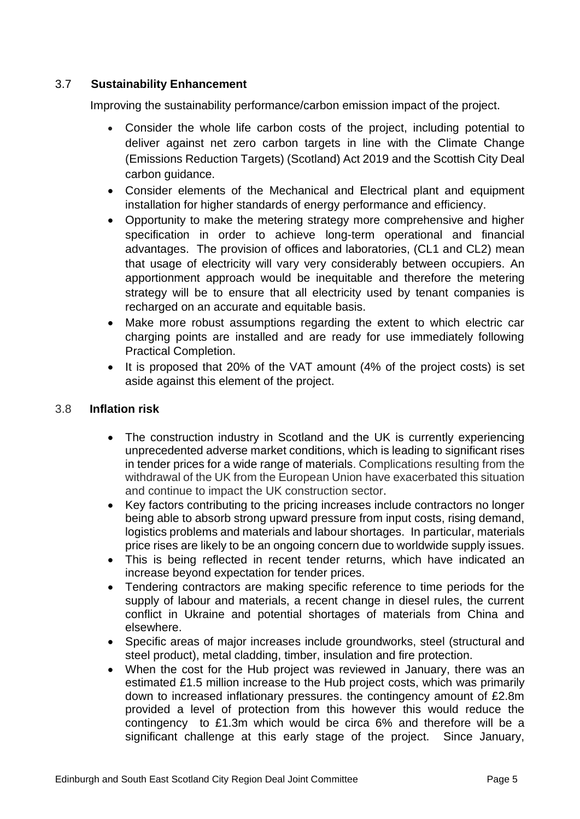#### 3.7 **Sustainability Enhancement**

Improving the sustainability performance/carbon emission impact of the project.

- Consider the whole life carbon costs of the project, including potential to deliver against net zero carbon targets in line with the Climate Change (Emissions Reduction Targets) (Scotland) Act 2019 and the Scottish City Deal carbon guidance.
- Consider elements of the Mechanical and Electrical plant and equipment installation for higher standards of energy performance and efficiency.
- Opportunity to make the metering strategy more comprehensive and higher specification in order to achieve long-term operational and financial advantages. The provision of offices and laboratories, (CL1 and CL2) mean that usage of electricity will vary very considerably between occupiers. An apportionment approach would be inequitable and therefore the metering strategy will be to ensure that all electricity used by tenant companies is recharged on an accurate and equitable basis.
- Make more robust assumptions regarding the extent to which electric car charging points are installed and are ready for use immediately following Practical Completion.
- It is proposed that 20% of the VAT amount (4% of the project costs) is set aside against this element of the project.

#### 3.8 **Inflation risk**

- The construction industry in Scotland and the UK is currently experiencing unprecedented adverse market conditions, which is leading to significant rises in tender prices for a wide range of materials. Complications resulting from the withdrawal of the UK from the European Union have exacerbated this situation and continue to impact the UK construction sector.
- Key factors contributing to the pricing increases include contractors no longer being able to absorb strong upward pressure from input costs, rising demand, logistics problems and materials and labour shortages. In particular, materials price rises are likely to be an ongoing concern due to worldwide supply issues.
- This is being reflected in recent tender returns, which have indicated an increase beyond expectation for tender prices.
- Tendering contractors are making specific reference to time periods for the supply of labour and materials, a recent change in diesel rules, the current conflict in Ukraine and potential shortages of materials from China and elsewhere.
- Specific areas of major increases include groundworks, steel (structural and steel product), metal cladding, timber, insulation and fire protection.
- When the cost for the Hub project was reviewed in January, there was an estimated £1.5 million increase to the Hub project costs, which was primarily down to increased inflationary pressures. the contingency amount of £2.8m provided a level of protection from this however this would reduce the contingency to £1.3m which would be circa 6% and therefore will be a significant challenge at this early stage of the project. Since January,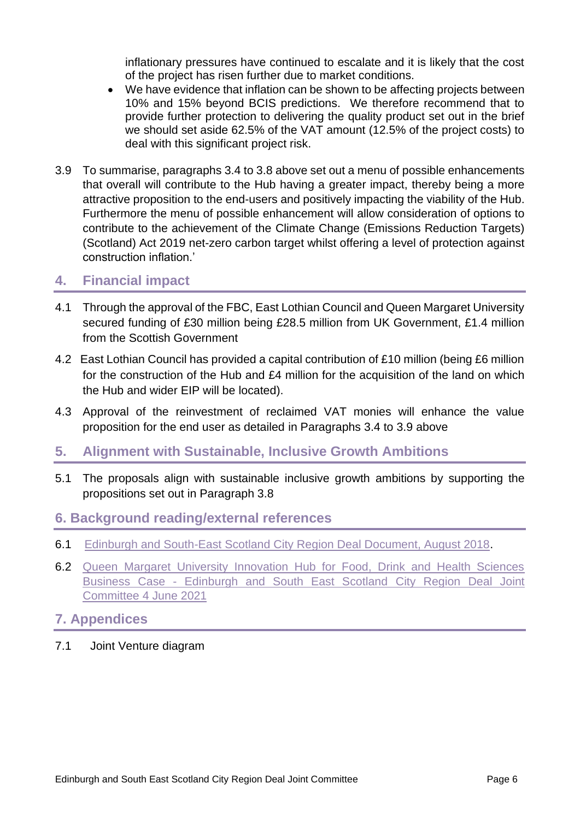inflationary pressures have continued to escalate and it is likely that the cost of the project has risen further due to market conditions.

- We have evidence that inflation can be shown to be affecting projects between 10% and 15% beyond BCIS predictions. We therefore recommend that to provide further protection to delivering the quality product set out in the brief we should set aside 62.5% of the VAT amount (12.5% of the project costs) to deal with this significant project risk.
- 3.9 To summarise, paragraphs 3.4 to 3.8 above set out a menu of possible enhancements that overall will contribute to the Hub having a greater impact, thereby being a more attractive proposition to the end-users and positively impacting the viability of the Hub. Furthermore the menu of possible enhancement will allow consideration of options to contribute to the achievement of the Climate Change (Emissions Reduction Targets) (Scotland) Act 2019 net-zero carbon target whilst offering a level of protection against construction inflation.'

## **4. Financial impact**

- 4.1 Through the approval of the FBC, East Lothian Council and Queen Margaret University secured funding of £30 million being £28.5 million from UK Government, £1.4 million from the Scottish Government
- 4.2 East Lothian Council has provided a capital contribution of £10 million (being £6 million for the construction of the Hub and £4 million for the acquisition of the land on which the Hub and wider EIP will be located).
- 4.3 Approval of the reinvestment of reclaimed VAT monies will enhance the value proposition for the end user as detailed in Paragraphs 3.4 to 3.9 above

#### **5. Alignment with Sustainable, Inclusive Growth Ambitions**

5.1 The proposals align with sustainable inclusive growth ambitions by supporting the propositions set out in Paragraph 3.8

#### **6. Background reading/external references**

- 6.1 [Edinburgh and South-East Scotland City Region Deal Document, August 2018.](https://esescityregiondeal.org.uk/s/ESESCR-Deal-Document-6-August-2018-signed-9758.pdf)
- 6.2 [Queen Margaret University Innovation Hub for Food, Drink and Health Sciences](https://democracy.edinburgh.gov.uk/documents/s34515/5.3%20-%20Queen%20Margaret%20University%20Innovation%20hub.pdf)  Business Case - [Edinburgh and South East Scotland City Region Deal Joint](https://democracy.edinburgh.gov.uk/documents/s34515/5.3%20-%20Queen%20Margaret%20University%20Innovation%20hub.pdf)  [Committee 4 June 2021](https://democracy.edinburgh.gov.uk/documents/s34515/5.3%20-%20Queen%20Margaret%20University%20Innovation%20hub.pdf)

#### **7. Appendices**

7.1 Joint Venture diagram